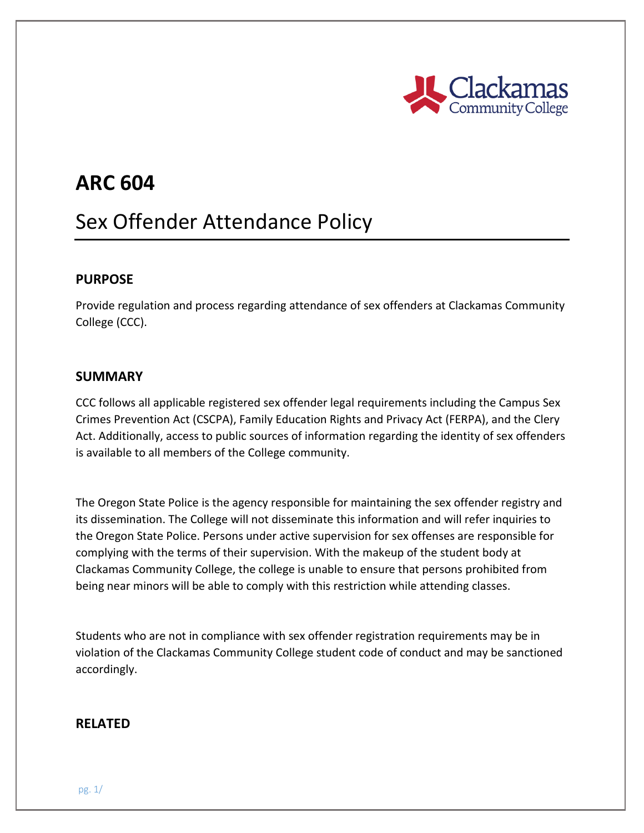

## **ARC 604**

# Sex Offender Attendance Policy

#### **PURPOSE**

Provide regulation and process regarding attendance of sex offenders at Clackamas Community College (CCC).

#### **SUMMARY**

CCC follows all applicable registered sex offender legal requirements including the Campus Sex Crimes Prevention Act (CSCPA), Family Education Rights and Privacy Act (FERPA), and the Clery Act. Additionally, access to public sources of information regarding the identity of sex offenders is available to all members of the College community.

The Oregon State Police is the agency responsible for maintaining the sex offender registry and its dissemination. The College will not disseminate this information and will refer inquiries to the Oregon State Police. Persons under active supervision for sex offenses are responsible for complying with the terms of their supervision. With the makeup of the student body at Clackamas Community College, the college is unable to ensure that persons prohibited from being near minors will be able to comply with this restriction while attending classes.

Students who are not in compliance with sex offender registration requirements may be in violation of the Clackamas Community College student code of conduct and may be sanctioned accordingly.

#### **RELATED**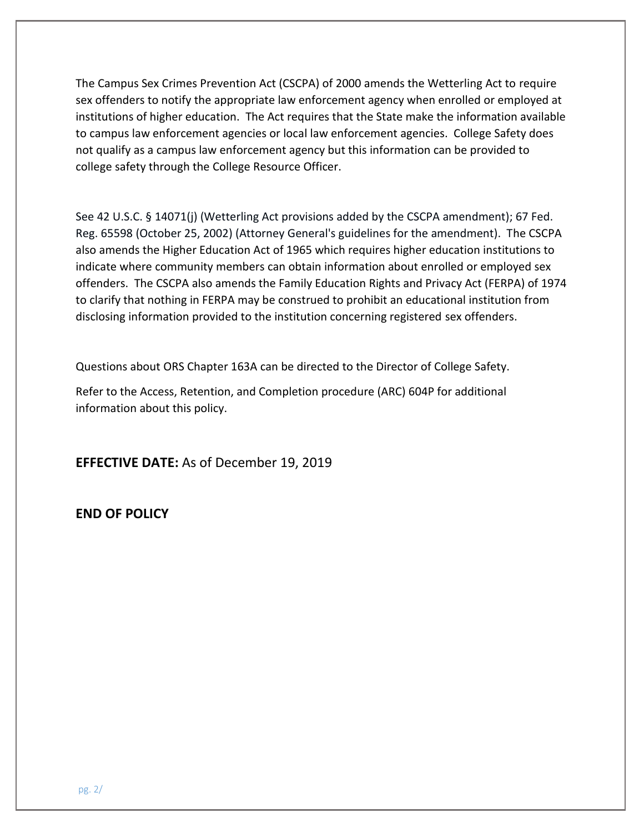The Campus Sex Crimes Prevention Act (CSCPA) of 2000 amends the Wetterling Act to require sex offenders to notify the appropriate law enforcement agency when enrolled or employed at institutions of higher education. The Act requires that the State make the information available to campus law enforcement agencies or local law enforcement agencies. College Safety does not qualify as a campus law enforcement agency but this information can be provided to college safety through the College Resource Officer.

See 42 U.S.C. § 14071(j) (Wetterling Act provisions added by the CSCPA amendment); 67 Fed. Reg. 65598 (October 25, 2002) (Attorney General's guidelines for the amendment). The CSCPA also amends the Higher Education Act of 1965 which requires higher education institutions to indicate where community members can obtain information about enrolled or employed sex offenders. The CSCPA also amends the Family Education Rights and Privacy Act (FERPA) of 1974 to clarify that nothing in FERPA may be construed to prohibit an educational institution from disclosing information provided to the institution concerning registered sex offenders.

Questions about ORS Chapter 163A can be directed to the Director of College Safety.

Refer to the Access, Retention, and Completion procedure (ARC) 604P for additional information about this policy.

**EFFECTIVE DATE:** As of December 19, 2019

**END OF POLICY**